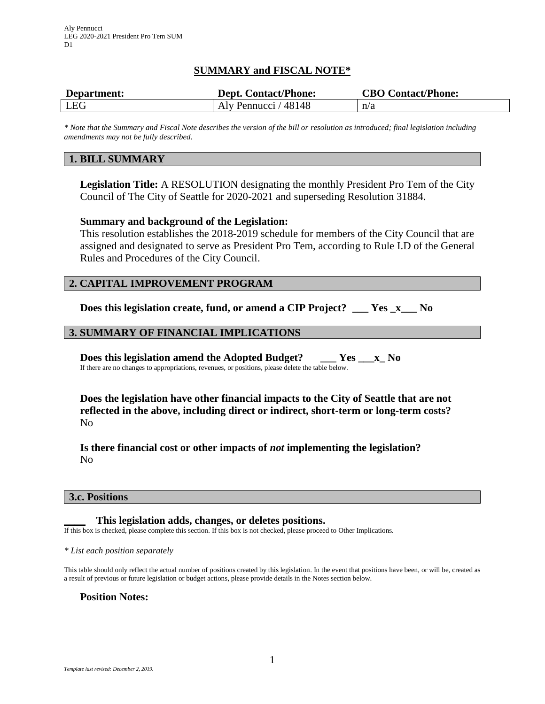# **SUMMARY and FISCAL NOTE\***

| Department: | <b>Dept. Contact/Phone:</b> | <b>CBO Contact/Phone:</b> |
|-------------|-----------------------------|---------------------------|
| LEG         | Aly Pennucci / 48148        | n/a                       |

*\* Note that the Summary and Fiscal Note describes the version of the bill or resolution as introduced; final legislation including amendments may not be fully described.*

## **1. BILL SUMMARY**

**Legislation Title:** A RESOLUTION designating the monthly President Pro Tem of the City Council of The City of Seattle for 2020-2021 and superseding Resolution 31884.

## **Summary and background of the Legislation:**

This resolution establishes the 2018-2019 schedule for members of the City Council that are assigned and designated to serve as President Pro Tem, according to Rule I.D of the General Rules and Procedures of the City Council.

## **2. CAPITAL IMPROVEMENT PROGRAM**

**Does this legislation create, fund, or amend a CIP Project? \_\_\_ Yes \_x\_\_\_ No**

## **3. SUMMARY OF FINANCIAL IMPLICATIONS**

**Does this legislation amend the Adopted Budget? \_\_\_ Yes \_\_\_x\_ No** If there are no changes to appropriations, revenues, or positions, please delete the table below.

**Does the legislation have other financial impacts to the City of Seattle that are not reflected in the above, including direct or indirect, short-term or long-term costs?** No

**Is there financial cost or other impacts of** *not* **implementing the legislation?** No

#### **3.c. Positions**

**\_\_\_\_ This legislation adds, changes, or deletes positions.** If this box is checked, please complete this section. If this box is not checked, please proceed to Other Implications.

*\* List each position separately*

This table should only reflect the actual number of positions created by this legislation. In the event that positions have been, or will be, created as a result of previous or future legislation or budget actions, please provide details in the Notes section below.

#### **Position Notes:**